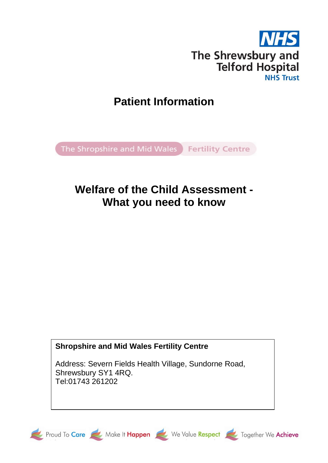

# **Patient Information**

The Shropshire and Mid Wales Fertility Centre

# **Welfare of the Child Assessment - What you need to know**

# **Shropshire and Mid Wales Fertility Centre**

Address: Severn Fields Health Village, Sundorne Road, Shrewsbury SY1 4RQ. Tel:01743 261202







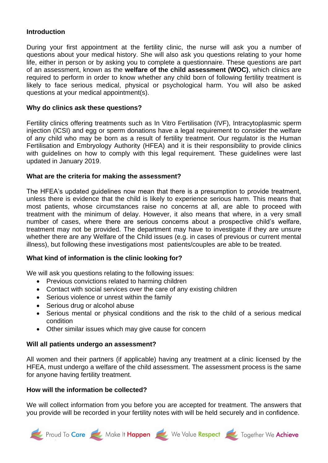#### **Introduction**

During your first appointment at the fertility clinic, the nurse will ask you a number of questions about your medical history. She will also ask you questions relating to your home life, either in person or by asking you to complete a questionnaire. These questions are part of an assessment, known as the **welfare of the child assessment (WOC)**, which clinics are required to perform in order to know whether any child born of following fertility treatment is likely to face serious medical, physical or psychological harm. You will also be asked questions at your medical appointment(s).

#### **Why do clinics ask these questions?**

Fertility clinics offering treatments such as In Vitro Fertilisation (IVF), Intracytoplasmic sperm injection (ICSI) and egg or sperm donations have a legal requirement to consider the welfare of any child who may be born as a result of fertility treatment. Our regulator is the Human Fertilisation and Embryology Authority (HFEA) and it is their responsibility to provide clinics with guidelines on how to comply with this legal requirement. These guidelines were last updated in January 2019.

#### **What are the criteria for making the assessment?**

The HFEA's updated guidelines now mean that there is a presumption to provide treatment, unless there is evidence that the child is likely to experience serious harm. This means that most patients, whose circumstances raise no concerns at all, are able to proceed with treatment with the minimum of delay. However, it also means that where, in a very small number of cases, where there are serious concerns about a prospective child's welfare, treatment may not be provided. The department may have to investigate if they are unsure whether there are any Welfare of the Child issues (e.g. in cases of previous or current mental illness), but following these investigations most patients/couples are able to be treated.

#### **What kind of information is the clinic looking for?**

We will ask you questions relating to the following issues:

- Previous convictions related to harming children
- Contact with social services over the care of any existing children
- Serious violence or unrest within the family
- Serious drug or alcohol abuse
- Serious mental or physical conditions and the risk to the child of a serious medical condition
- Other similar issues which may give cause for concern

#### **Will all patients undergo an assessment?**

All women and their partners (if applicable) having any treatment at a clinic licensed by the HFEA, must undergo a welfare of the child assessment. The assessment process is the same for anyone having fertility treatment.

#### **How will the information be collected?**

We will collect information from you before you are accepted for treatment. The answers that you provide will be recorded in your fertility notes with will be held securely and in confidence.

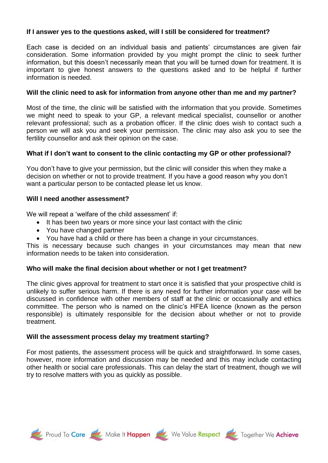## **If I answer yes to the questions asked, will I still be considered for treatment?**

Each case is decided on an individual basis and patients' circumstances are given fair consideration. Some information provided by you might prompt the clinic to seek further information, but this doesn't necessarily mean that you will be turned down for treatment. It is important to give honest answers to the questions asked and to be helpful if further information is needed.

#### **Will the clinic need to ask for information from anyone other than me and my partner?**

Most of the time, the clinic will be satisfied with the information that you provide. Sometimes we might need to speak to your GP, a relevant medical specialist, counsellor or another relevant professional; such as a probation officer. If the clinic does wish to contact such a person we will ask you and seek your permission. The clinic may also ask you to see the fertility counsellor and ask their opinion on the case.

# **What if I don't want to consent to the clinic contacting my GP or other professional?**

You don't have to give your permission, but the clinic will consider this when they make a decision on whether or not to provide treatment. If you have a good reason why you don't want a particular person to be contacted please let us know.

#### **Will I need another assessment?**

We will repeat a 'welfare of the child assessment' if:

- It has been two years or more since your last contact with the clinic
- You have changed partner
- You have had a child or there has been a change in your circumstances.

This is necessary because such changes in your circumstances may mean that new information needs to be taken into consideration.

#### **Who will make the final decision about whether or not I get treatment?**

The clinic gives approval for treatment to start once it is satisfied that your prospective child is unlikely to suffer serious harm. If there is any need for further information your case will be discussed in confidence with other members of staff at the clinic or occasionally and ethics committee. The person who is named on the clinic's HFEA licence (known as the person responsible) is ultimately responsible for the decision about whether or not to provide treatment.

#### **Will the assessment process delay my treatment starting?**

For most patients, the assessment process will be quick and straightforward. In some cases, however, more information and discussion may be needed and this may include contacting other health or social care professionals. This can delay the start of treatment, though we will try to resolve matters with you as quickly as possible.





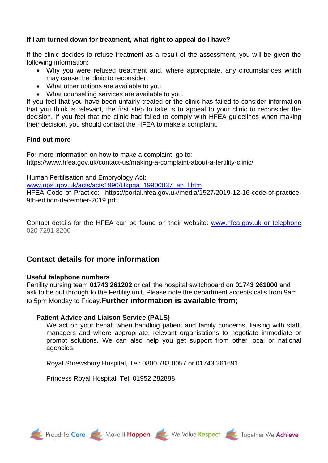# **If I am turned down for treatment, what right to appeal do I have?**

If the clinic decides to refuse treatment as a result of the assessment, you will be given the following information:

- Why you were refused treatment and, where appropriate, any circumstances which may cause the clinic to reconsider.
- What other options are available to you.
- What counselling services are available to you.

If you feel that you have been unfairly treated or the clinic has failed to consider information that you think is relevant, the first step to take is to appeal to your clinic to reconsider the decision. If you feel that the clinic had failed to comply with HFEA guidelines when making their decision, you should contact the HFEA to make a complaint.

# **Find out more**

For more information on how to make a complaint, go to: https://www.hfea.gov.uk/contact-us/making-a-complaint-about-a-fertility-clinic/

Human Fertilisation and Embryology Act:

[www.opsi.gov.uk/acts/acts1990/Ukpga\\_19900037\\_en\\_l.htm](http://www.opsi.gov.uk/acts/acts1990/Ukpga_19900037_en_l.htm)

HFEA Code of Practice: https://portal.hfea.gov.uk/media/1527/2019-12-16-code-of-practice-9th-edition-december-2019.pdf

Contact details for the HFEA can be found on their website: [www.hfea.gov.uk](http://www.hfea.gov.uk/) or telephone 020 7291 8200

# **Contact details for more information**

# **Useful telephone numbers**

Fertility nursing team **01743 261202** or call the hospital switchboard on **01743 261000** and ask to be put through to the Fertility unit. Please note the department accepts calls from 9am to 5pm Monday to Friday.**Further information is available from;**

# **Patient Advice and Liaison Service (PALS)**

We act on your behalf when handling patient and family concerns, liaising with staff, managers and where appropriate, relevant organisations to negotiate immediate or prompt solutions. We can also help you get support from other local or national agencies.

Royal Shrewsbury Hospital, Tel: 0800 783 0057 or 01743 261691

Princess Royal Hospital, Tel: 01952 282888